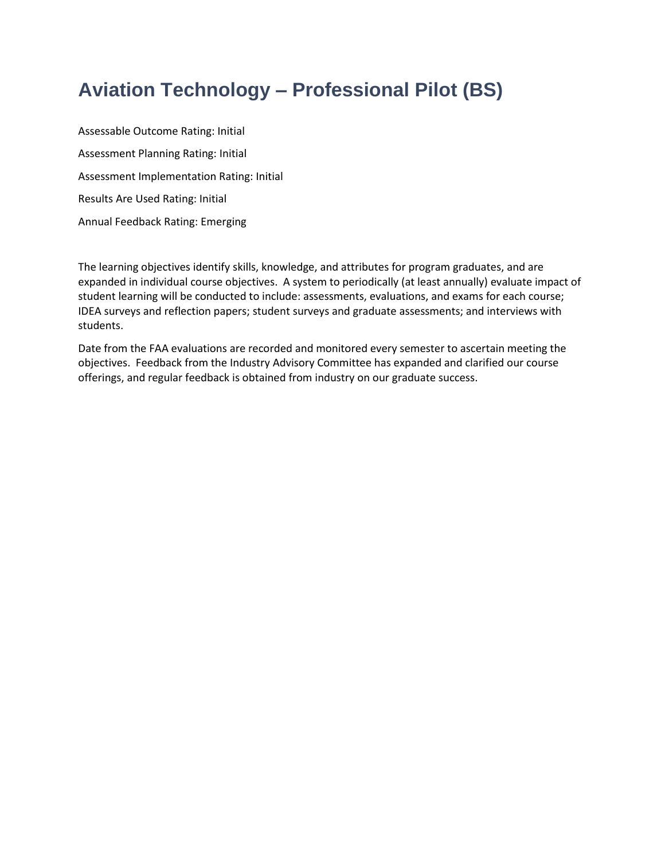# **Aviation Technology – Professional Pilot (BS)**

Assessable Outcome Rating: Initial Assessment Planning Rating: Initial Assessment Implementation Rating: Initial Results Are Used Rating: Initial Annual Feedback Rating: Emerging

The learning objectives identify skills, knowledge, and attributes for program graduates, and are expanded in individual course objectives. A system to periodically (at least annually) evaluate impact of student learning will be conducted to include: assessments, evaluations, and exams for each course; IDEA surveys and reflection papers; student surveys and graduate assessments; and interviews with students.

Date from the FAA evaluations are recorded and monitored every semester to ascertain meeting the objectives. Feedback from the Industry Advisory Committee has expanded and clarified our course offerings, and regular feedback is obtained from industry on our graduate success.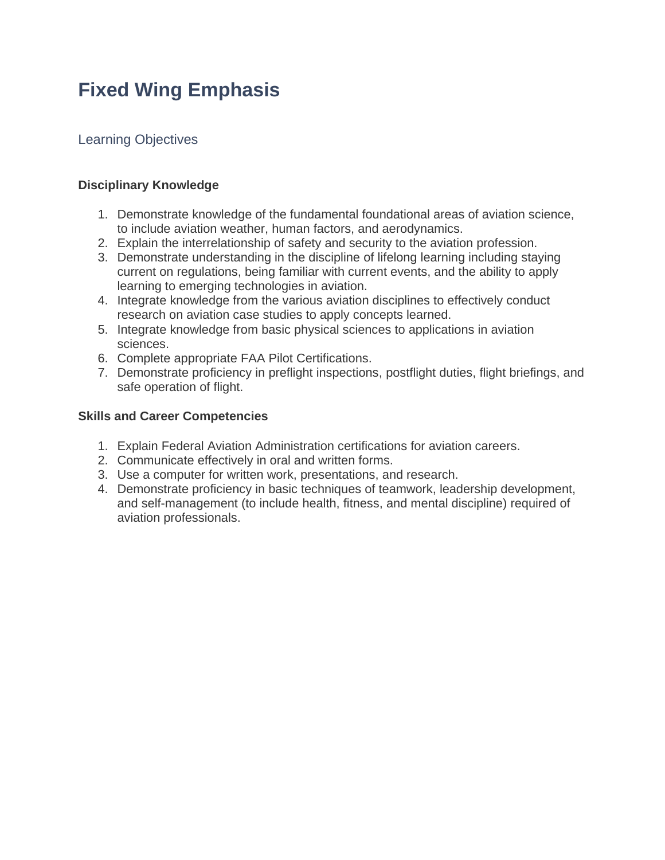# **Fixed Wing Emphasis**

### Learning Objectives

#### **Disciplinary Knowledge**

- 1. Demonstrate knowledge of the fundamental foundational areas of aviation science, to include aviation weather, human factors, and aerodynamics.
- 2. Explain the interrelationship of safety and security to the aviation profession.
- 3. Demonstrate understanding in the discipline of lifelong learning including staying current on regulations, being familiar with current events, and the ability to apply learning to emerging technologies in aviation.
- 4. Integrate knowledge from the various aviation disciplines to effectively conduct research on aviation case studies to apply concepts learned.
- 5. Integrate knowledge from basic physical sciences to applications in aviation sciences.
- 6. Complete appropriate FAA Pilot Certifications.
- 7. Demonstrate proficiency in preflight inspections, postflight duties, flight briefings, and safe operation of flight.

### **Skills and Career Competencies**

- 1. Explain Federal Aviation Administration certifications for aviation careers.
- 2. Communicate effectively in oral and written forms.
- 3. Use a computer for written work, presentations, and research.
- 4. Demonstrate proficiency in basic techniques of teamwork, leadership development, and self-management (to include health, fitness, and mental discipline) required of aviation professionals.